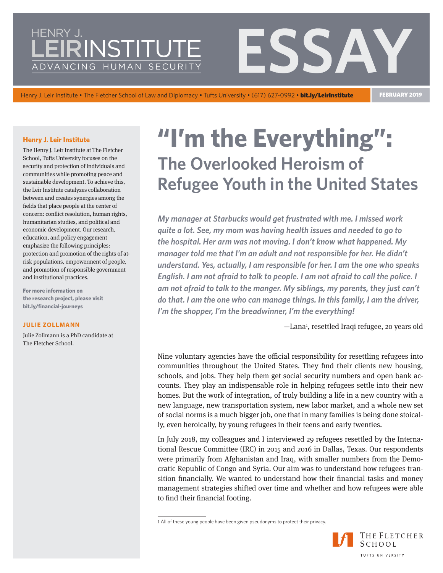# INSTITUT ADVANCING HUMAN SECURIT

Henry J. Leir Institute • The Fletcher School of Law and Diplomacy • Tufts University • (617) 627-0992 • bit.ly/LeirInstitute FEBRUARY 2019

#### **Henry J. Leir Institute**

The Henry J. Leir Institute at The Fletcher School, Tufts University focuses on the security and protection of individuals and communities while promoting peace and sustainable development. To achieve this, the Leir Institute catalyzes collaboration between and creates synergies among the fields that place people at the center of concern: conflict resolution, human rights, humanitarian studies, and political and economic development. Our research, education, and policy engagement emphasize the following principles: protection and promotion of the rights of atrisk populations, empowerment of people, and promotion of responsible government and institutional practices.

**For more information on the research project, please visit [bit.ly/financial-journeys](http://bit.ly/financial-journeys)** 

#### **JULIE ZOLLMANN**

Julie Zollmann is a PhD candidate at The Fletcher School.

# **"I'm the Everything": The Overlooked Heroism of Refugee Youth in the United States**

*My manager at Starbucks would get frustrated with me. I missed work quite a lot. See, my mom was having health issues and needed to go to the hospital. Her arm was not moving. I don't know what happened. My manager told me that I'm an adult and not responsible for her. He didn't understand. Yes, actually, I am responsible for her. I am the one who speaks English. I am not afraid to talk to people. I am not afraid to call the police. I*  am not afraid to talk to the manger. My siblings, my parents, they just can't *do that. I am the one who can manage things. In this family, I am the driver, I'm the shopper, I'm the breadwinner, I'm the everything!* 

 $-$ Lana<sup>1</sup>, resettled Iraqi refugee, 20 years old

Nine voluntary agencies have the official responsibility for resettling refugees into communities throughout the United States. They find their clients new housing, schools, and jobs. They help them get social security numbers and open bank accounts. They play an indispensable role in helping refugees settle into their new homes. But the work of integration, of truly building a life in a new country with a new language, new transportation system, new labor market, and a whole new set of social norms is a much bigger job, one that in many families is being done stoically, even heroically, by young refugees in their teens and early twenties.

In July 2018, my colleagues and I interviewed 29 refugees resettled by the International Rescue Committee (IRC) in 2015 and 2016 in Dallas, Texas. Our respondents were primarily from Afghanistan and Iraq, with smaller numbers from the Democratic Republic of Congo and Syria. Our aim was to understand how refugees transition financially. We wanted to understand how their financial tasks and money management strategies shifted over time and whether and how refugees were able to find their financial footing.

<sup>1</sup> All of these young people have been given pseudonyms to protect their privacy.

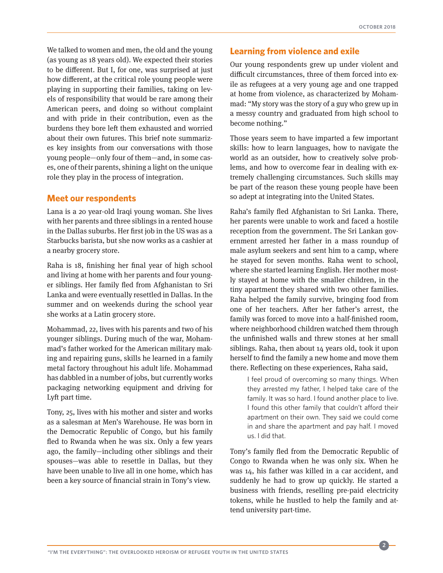We talked to women and men, the old and the young (as young as 18 years old). We expected their stories to be different. But I, for one, was surprised at just how different, at the critical role young people were playing in supporting their families, taking on levels of responsibility that would be rare among their American peers, and doing so without complaint and with pride in their contribution, even as the burdens they bore left them exhausted and worried about their own futures. This brief note summarizes key insights from our conversations with those young people—only four of them—and, in some cases, one of their parents, shining a light on the unique role they play in the process of integration.

#### **Meet our respondents**

Lana is a 20 year-old Iraqi young woman. She lives with her parents and three siblings in a rented house in the Dallas suburbs. Her first job in the US was as a Starbucks barista, but she now works as a cashier at a nearby grocery store.

Raha is 18, finishing her final year of high school and living at home with her parents and four younger siblings. Her family fled from Afghanistan to Sri Lanka and were eventually resettled in Dallas. In the summer and on weekends during the school year she works at a Latin grocery store.

Mohammad, 22, lives with his parents and two of his younger siblings. During much of the war, Mohammad's father worked for the American military making and repairing guns, skills he learned in a family metal factory throughout his adult life. Mohammad has dabbled in a number of jobs, but currently works packaging networking equipment and driving for Lyft part time.

Tony, 25, lives with his mother and sister and works as a salesman at Men's Warehouse. He was born in the Democratic Republic of Congo, but his family fled to Rwanda when he was six. Only a few years ago, the family—including other siblings and their spouses—was able to resettle in Dallas, but they have been unable to live all in one home, which has been a key source of financial strain in Tony's view.

#### **Learning from violence and exile**

Our young respondents grew up under violent and difficult circumstances, three of them forced into exile as refugees at a very young age and one trapped at home from violence, as characterized by Mohammad: "My story was the story of a guy who grew up in a messy country and graduated from high school to become nothing."

Those years seem to have imparted a few important skills: how to learn languages, how to navigate the world as an outsider, how to creatively solve problems, and how to overcome fear in dealing with extremely challenging circumstances. Such skills may be part of the reason these young people have been so adept at integrating into the United States.

Raha's family fled Afghanistan to Sri Lanka. There, her parents were unable to work and faced a hostile reception from the government. The Sri Lankan government arrested her father in a mass roundup of male asylum seekers and sent him to a camp, where he stayed for seven months. Raha went to school, where she started learning English. Her mother mostly stayed at home with the smaller children, in the tiny apartment they shared with two other families. Raha helped the family survive, bringing food from one of her teachers. After her father's arrest, the family was forced to move into a half-finished room, where neighborhood children watched them through the unfinished walls and threw stones at her small siblings. Raha, then about 14 years old, took it upon herself to find the family a new home and move them there. Reflecting on these experiences, Raha said,

> I feel proud of overcoming so many things. When they arrested my father, I helped take care of the family. It was so hard. I found another place to live. I found this other family that couldn't afford their apartment on their own. They said we could come in and share the apartment and pay half. I moved us. I did that.

Tony's family fled from the Democratic Republic of Congo to Rwanda when he was only six. When he was 14, his father was killed in a car accident, and suddenly he had to grow up quickly. He started a business with friends, reselling pre-paid electricity tokens, while he hustled to help the family and attend university part-time.

**2**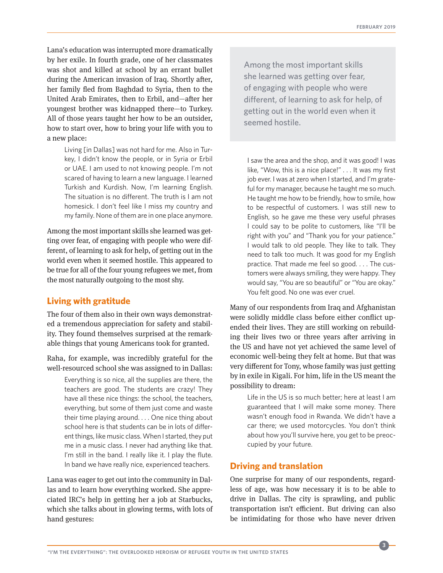Lana's education was interrupted more dramatically by her exile. In fourth grade, one of her classmates was shot and killed at school by an errant bullet during the American invasion of Iraq. Shortly after, her family fled from Baghdad to Syria, then to the United Arab Emirates, then to Erbil, and—after her youngest brother was kidnapped there—to Turkey. All of those years taught her how to be an outsider, how to start over, how to bring your life with you to a new place:

Living [in Dallas] was not hard for me. Also in Turkey, I didn't know the people, or in Syria or Erbil or UAE. I am used to not knowing people. I'm not scared of having to learn a new language. I learned Turkish and Kurdish. Now, I'm learning English. The situation is no different. The truth is I am not homesick. I don't feel like I miss my country and my family. None of them are in one place anymore.

Among the most important skills she learned was getting over fear, of engaging with people who were different, of learning to ask for help, of getting out in the world even when it seemed hostile. This appeared to be true for all of the four young refugees we met, from the most naturally outgoing to the most shy.

### **Living with gratitude**

The four of them also in their own ways demonstrated a tremendous appreciation for safety and stability. They found themselves surprised at the remarkable things that young Americans took for granted.

Raha, for example, was incredibly grateful for the well-resourced school she was assigned to in Dallas:

Everything is so nice, all the supplies are there, the teachers are good. The students are crazy! They have all these nice things: the school, the teachers, everything, but some of them just come and waste their time playing around. . . . One nice thing about school here is that students can be in lots of different things, like music class. When I started, they put me in a music class. I never had anything like that. I'm still in the band. I really like it. I play the flute. In band we have really nice, experienced teachers.

Lana was eager to get out into the community in Dallas and to learn how everything worked. She appreciated IRC's help in getting her a job at Starbucks, which she talks about in glowing terms, with lots of hand gestures:

Among the most important skills she learned was getting over fear, of engaging with people who were different, of learning to ask for help, of getting out in the world even when it seemed hostile.

I saw the area and the shop, and it was good! I was like, "Wow, this is a nice place!" . . . It was my first job ever. I was at zero when I started, and I'm grateful for my manager, because he taught me so much. He taught me how to be friendly, how to smile, how to be respectful of customers. I was still new to English, so he gave me these very useful phrases I could say to be polite to customers, like "I'll be right with you" and "Thank you for your patience." I would talk to old people. They like to talk. They need to talk too much. It was good for my English practice. That made me feel so good. . . . The customers were always smiling, they were happy. They would say, "You are so beautiful" or "You are okay." You felt good. No one was ever cruel.

Many of our respondents from Iraq and Afghanistan were solidly middle class before either conflict upended their lives. They are still working on rebuilding their lives two or three years after arriving in the US and have not yet achieved the same level of economic well-being they felt at home. But that was very different for Tony, whose family was just getting by in exile in Kigali. For him, life in the US meant the possibility to dream:

> Life in the US is so much better; here at least I am guaranteed that I will make some money. There wasn't enough food in Rwanda. We didn't have a car there; we used motorcycles. You don't think about how you'll survive here, you get to be preoccupied by your future.

## **Driving and translation**

One surprise for many of our respondents, regardless of age, was how necessary it is to be able to drive in Dallas. The city is sprawling, and public transportation isn't efficient. But driving can also be intimidating for those who have never driven

**3**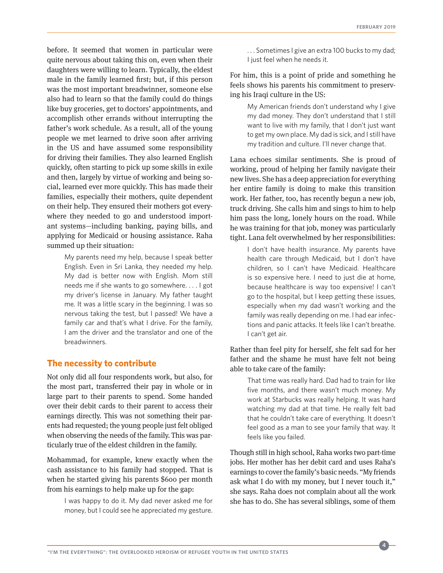before. It seemed that women in particular were quite nervous about taking this on, even when their daughters were willing to learn. Typically, the eldest male in the family learned first; but, if this person was the most important breadwinner, someone else also had to learn so that the family could do things like buy groceries, get to doctors' appointments, and accomplish other errands without interrupting the father's work schedule. As a result, all of the young people we met learned to drive soon after arriving in the US and have assumed some responsibility for driving their families. They also learned English quickly, often starting to pick up some skills in exile and then, largely by virtue of working and being social, learned ever more quickly. This has made their families, especially their mothers, quite dependent on their help. They ensured their mothers got everywhere they needed to go and understood important systems—including banking, paying bills, and applying for Medicaid or housing assistance. Raha summed up their situation:

My parents need my help, because I speak better English. Even in Sri Lanka, they needed my help. My dad is better now with English. Mom still needs me if she wants to go somewhere. . . . I got my driver's license in January. My father taught me. It was a little scary in the beginning. I was so nervous taking the test, but I passed! We have a family car and that's what I drive. For the family, I am the driver and the translator and one of the breadwinners.

#### **The necessity to contribute**

Not only did all four respondents work, but also, for the most part, transferred their pay in whole or in large part to their parents to spend. Some handed over their debit cards to their parent to access their earnings directly. This was not something their parents had requested; the young people just felt obliged when observing the needs of the family. This was particularly true of the eldest children in the family.

Mohammad, for example, knew exactly when the cash assistance to his family had stopped. That is when he started giving his parents \$600 per month from his earnings to help make up for the gap:

I was happy to do it. My dad never asked me for money, but I could see he appreciated my gesture.

. . . Sometimes I give an extra 100 bucks to my dad; I just feel when he needs it.

For him, this is a point of pride and something he feels shows his parents his commitment to preserving his Iraqi culture in the US:

> My American friends don't understand why I give my dad money. They don't understand that I still want to live with my family, that I don't just want to get my own place. My dad is sick, and I still have my tradition and culture. I'll never change that.

Lana echoes similar sentiments. She is proud of working, proud of helping her family navigate their new lives. She has a deep appreciation for everything her entire family is doing to make this transition work. Her father, too, has recently begun a new job, truck driving. She calls him and sings to him to help him pass the long, lonely hours on the road. While he was training for that job, money was particularly tight. Lana felt overwhelmed by her responsibilities:

> I don't have health insurance. My parents have health care through Medicaid, but I don't have children, so I can't have Medicaid. Healthcare is so expensive here. I need to just die at home, because healthcare is way too expensive! I can't go to the hospital, but I keep getting these issues, especially when my dad wasn't working and the family was really depending on me. I had ear infections and panic attacks. It feels like I can't breathe. I can't get air.

Rather than feel pity for herself, she felt sad for her father and the shame he must have felt not being able to take care of the family:

That time was really hard. Dad had to train for like five months, and there wasn't much money. My work at Starbucks was really helping. It was hard watching my dad at that time. He really felt bad that he couldn't take care of everything. It doesn't feel good as a man to see your family that way. It feels like you failed.

Though still in high school, Raha works two part-time jobs. Her mother has her debit card and uses Raha's earnings to cover the family's basic needs. "My friends ask what I do with my money, but I never touch it," she says. Raha does not complain about all the work she has to do. She has several siblings, some of them

**4**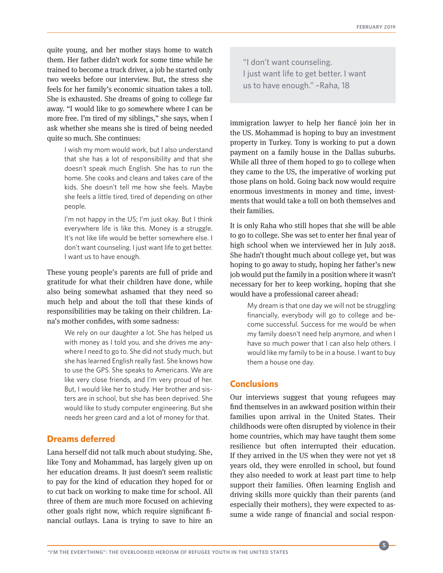quite young, and her mother stays home to watch them. Her father didn't work for some time while he trained to become a truck driver, a job he started only two weeks before our interview. But, the stress she feels for her family's economic situation takes a toll. She is exhausted. She dreams of going to college far away. "I would like to go somewhere where I can be more free. I'm tired of my siblings," she says, when I ask whether she means she is tired of being needed quite so much. She continues:

I wish my mom would work, but I also understand that she has a lot of responsibility and that she doesn't speak much English. She has to run the home. She cooks and cleans and takes care of the kids. She doesn't tell me how she feels. Maybe she feels a little tired, tired of depending on other people.

I'm not happy in the US; I'm just okay. But I think everywhere life is like this. Money is a struggle. It's not like life would be better somewhere else. I don't want counseling. I just want life to get better. I want us to have enough.

These young people's parents are full of pride and gratitude for what their children have done, while also being somewhat ashamed that they need so much help and about the toll that these kinds of responsibilities may be taking on their children. Lana's mother confides, with some sadness:

We rely on our daughter a lot. She has helped us with money as I told you, and she drives me anywhere I need to go to. She did not study much, but she has learned English really fast. She knows how to use the GPS. She speaks to Americans. We are like very close friends, and I'm very proud of her. But, I would like her to study. Her brother and sisters are in school, but she has been deprived. She would like to study computer engineering. But she needs her green card and a lot of money for that.

#### **Dreams deferred**

Lana herself did not talk much about studying. She, like Tony and Mohammad, has largely given up on her education dreams. It just doesn't seem realistic to pay for the kind of education they hoped for or to cut back on working to make time for school. All three of them are much more focused on achieving other goals right now, which require significant financial outlays. Lana is trying to save to hire an

"I don't want counseling. I just want life to get better. I want us to have enough." –Raha, 18

immigration lawyer to help her fiancé join her in the US. Mohammad is hoping to buy an investment property in Turkey. Tony is working to put a down payment on a family house in the Dallas suburbs. While all three of them hoped to go to college when they came to the US, the imperative of working put those plans on hold. Going back now would require enormous investments in money and time, investments that would take a toll on both themselves and their families.

It is only Raha who still hopes that she will be able to go to college. She was set to enter her final year of high school when we interviewed her in July 2018. She hadn't thought much about college yet, but was hoping to go away to study, hoping her father's new job would put the family in a position where it wasn't necessary for her to keep working, hoping that she would have a professional career ahead:

My dream is that one day we will not be struggling financially, everybody will go to college and become successful. Success for me would be when my family doesn't need help anymore, and when I have so much power that I can also help others. I would like my family to be in a house. I want to buy them a house one day.

#### **Conclusions**

Our interviews suggest that young refugees may find themselves in an awkward position within their families upon arrival in the United States. Their childhoods were often disrupted by violence in their home countries, which may have taught them some resilience but often interrupted their education. If they arrived in the US when they were not yet 18 years old, they were enrolled in school, but found they also needed to work at least part time to help support their families. Often learning English and driving skills more quickly than their parents (and especially their mothers), they were expected to assume a wide range of financial and social respon-